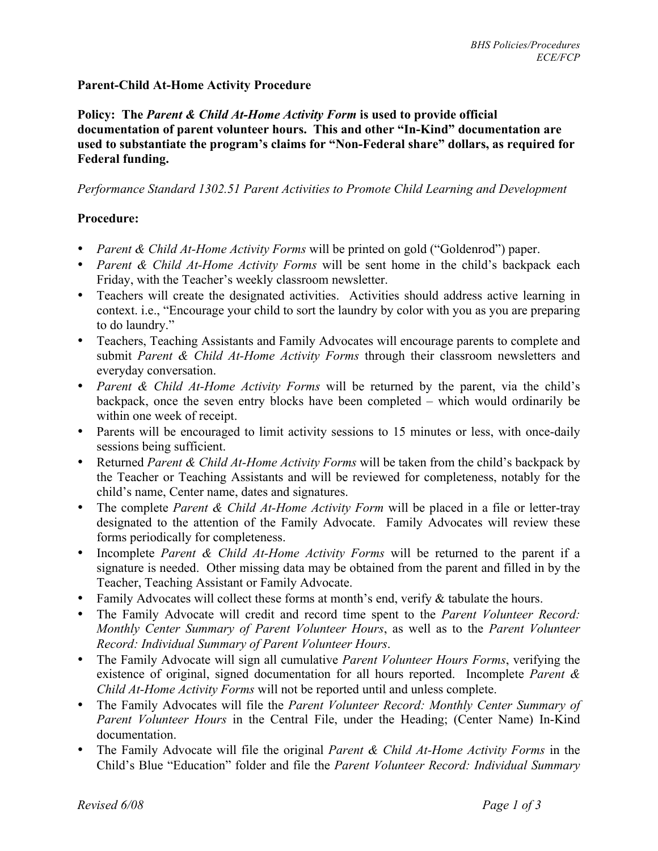## **Parent-Child At-Home Activity Procedure**

**Policy: The** *Parent & Child At-Home Activity Form* **is used to provide official documentation of parent volunteer hours. This and other "In-Kind" documentation are used to substantiate the program's claims for "Non-Federal share" dollars, as required for Federal funding.**

*Performance Standard 1302.51 Parent Activities to Promote Child Learning and Development*

## **Procedure:**

- *Parent & Child At-Home Activity Forms* will be printed on gold ("Goldenrod") paper.
- *Parent & Child At-Home Activity Forms* will be sent home in the child's backpack each Friday, with the Teacher's weekly classroom newsletter.
- Teachers will create the designated activities. Activities should address active learning in context. i.e., "Encourage your child to sort the laundry by color with you as you are preparing to do laundry."
- Teachers, Teaching Assistants and Family Advocates will encourage parents to complete and submit *Parent & Child At-Home Activity Forms* through their classroom newsletters and everyday conversation.
- *Parent & Child At-Home Activity Forms* will be returned by the parent, via the child's backpack, once the seven entry blocks have been completed – which would ordinarily be within one week of receipt.
- Parents will be encouraged to limit activity sessions to 15 minutes or less, with once-daily sessions being sufficient.
- Returned *Parent & Child At-Home Activity Forms* will be taken from the child's backpack by the Teacher or Teaching Assistants and will be reviewed for completeness, notably for the child's name, Center name, dates and signatures.
- The complete *Parent & Child At-Home Activity Form* will be placed in a file or letter-tray designated to the attention of the Family Advocate. Family Advocates will review these forms periodically for completeness.
- Incomplete *Parent & Child At-Home Activity Forms* will be returned to the parent if a signature is needed. Other missing data may be obtained from the parent and filled in by the Teacher, Teaching Assistant or Family Advocate.
- Family Advocates will collect these forms at month's end, verify & tabulate the hours.
- The Family Advocate will credit and record time spent to the *Parent Volunteer Record: Monthly Center Summary of Parent Volunteer Hours*, as well as to the *Parent Volunteer Record: Individual Summary of Parent Volunteer Hours*.
- The Family Advocate will sign all cumulative *Parent Volunteer Hours Forms*, verifying the existence of original, signed documentation for all hours reported. Incomplete *Parent & Child At-Home Activity Forms* will not be reported until and unless complete.
- The Family Advocates will file the *Parent Volunteer Record: Monthly Center Summary of Parent Volunteer Hours* in the Central File, under the Heading; (Center Name) In-Kind documentation.
- The Family Advocate will file the original *Parent & Child At-Home Activity Forms* in the Child's Blue "Education" folder and file the *Parent Volunteer Record: Individual Summary*